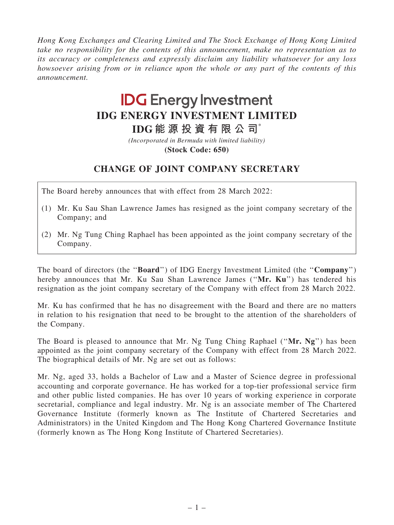Hong Kong Exchanges and Clearing Limited and The Stock Exchange of Hong Kong Limited take no responsibility for the contents of this announcement, make no representation as to its accuracy or completeness and expressly disclaim any liability whatsoever for any loss howsoever arising from or in reliance upon the whole or any part of the contents of this announcement.

## **IDG Energy Investment IDG ENERGY INVESTMENT LIMITED**

**IDG 能 源 投 資 有 限 公 司**\*

**(Stock Code: 650)** *(Incorporated in Bermuda with limited liability)*

## CHANGE OF JOINT COMPANY SECRETARY

The Board hereby announces that with effect from 28 March 2022:

- (1) Mr. Ku Sau Shan Lawrence James has resigned as the joint company secretary of the Company; and
- (2) Mr. Ng Tung Ching Raphael has been appointed as the joint company secretary of the Company.

The board of directors (the "**Board**") of IDG Energy Investment Limited (the "**Company**") hereby announces that Mr. Ku Sau Shan Lawrence James ("Mr. Ku") has tendered his resignation as the joint company secretary of the Company with effect from 28 March 2022.

Mr. Ku has confirmed that he has no disagreement with the Board and there are no matters in relation to his resignation that need to be brought to the attention of the shareholders of the Company.

The Board is pleased to announce that Mr. Ng Tung Ching Raphael ("Mr. Ng") has been appointed as the joint company secretary of the Company with effect from 28 March 2022. The biographical details of Mr. Ng are set out as follows:

Mr. Ng, aged 33, holds a Bachelor of Law and a Master of Science degree in professional accounting and corporate governance. He has worked for a top-tier professional service firm and other public listed companies. He has over 10 years of working experience in corporate secretarial, compliance and legal industry. Mr. Ng is an associate member of The Chartered Governance Institute (formerly known as The Institute of Chartered Secretaries and Administrators) in the United Kingdom and The Hong Kong Chartered Governance Institute (formerly known as The Hong Kong Institute of Chartered Secretaries).